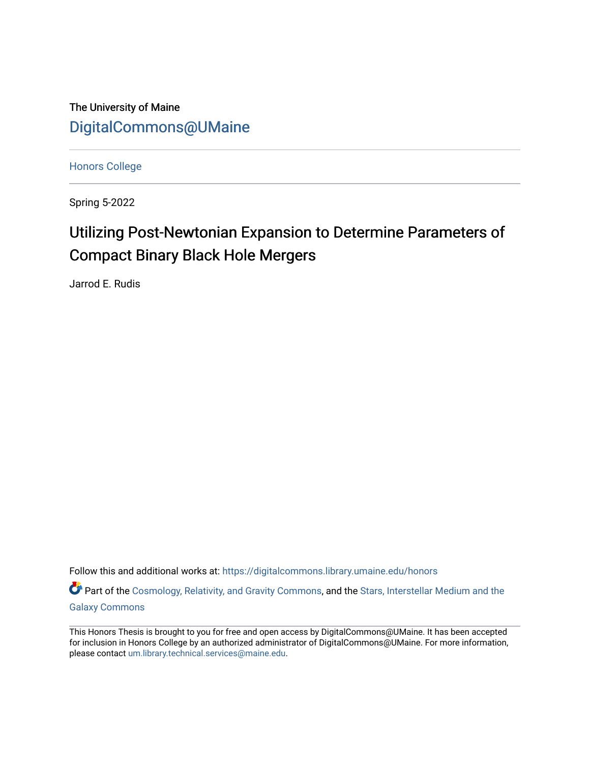The University of Maine [DigitalCommons@UMaine](https://digitalcommons.library.umaine.edu/)

[Honors College](https://digitalcommons.library.umaine.edu/honors)

Spring 5-2022

# Utilizing Post-Newtonian Expansion to Determine Parameters of Compact Binary Black Hole Mergers

Jarrod E. Rudis

Follow this and additional works at: [https://digitalcommons.library.umaine.edu/honors](https://digitalcommons.library.umaine.edu/honors?utm_source=digitalcommons.library.umaine.edu%2Fhonors%2F757&utm_medium=PDF&utm_campaign=PDFCoverPages) 

Part of the [Cosmology, Relativity, and Gravity Commons,](https://network.bepress.com/hgg/discipline/129?utm_source=digitalcommons.library.umaine.edu%2Fhonors%2F757&utm_medium=PDF&utm_campaign=PDFCoverPages) and the Stars, Interstellar Medium and the [Galaxy Commons](https://network.bepress.com/hgg/discipline/127?utm_source=digitalcommons.library.umaine.edu%2Fhonors%2F757&utm_medium=PDF&utm_campaign=PDFCoverPages)

This Honors Thesis is brought to you for free and open access by DigitalCommons@UMaine. It has been accepted for inclusion in Honors College by an authorized administrator of DigitalCommons@UMaine. For more information, please contact [um.library.technical.services@maine.edu.](mailto:um.library.technical.services@maine.edu)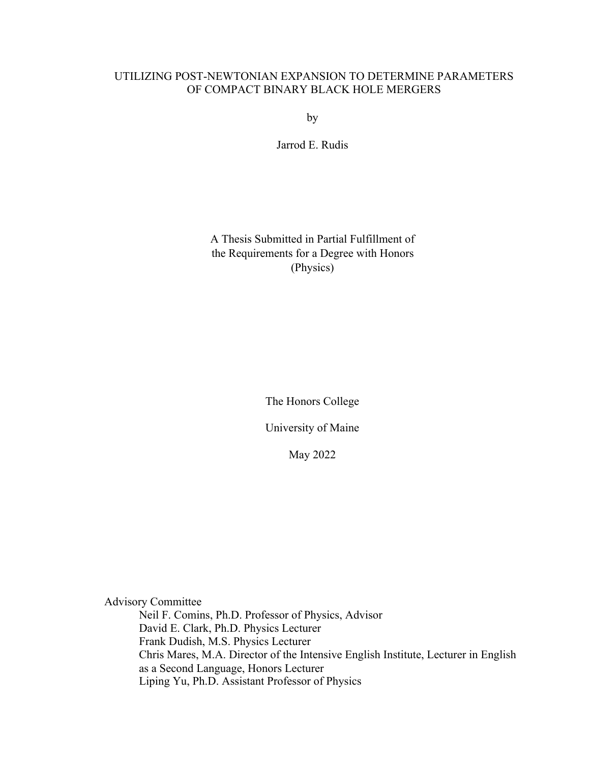## UTILIZING POST-NEWTONIAN EXPANSION TO DETERMINE PARAMETERS OF COMPACT BINARY BLACK HOLE MERGERS

by

Jarrod E. Rudis

A Thesis Submitted in Partial Fulfillment of the Requirements for a Degree with Honors (Physics)

The Honors College

University of Maine

May 2022

Advisory Committee Neil F. Comins, Ph.D. Professor of Physics, Advisor David E. Clark, Ph.D. Physics Lecturer Frank Dudish, M.S. Physics Lecturer Chris Mares, M.A. Director of the Intensive English Institute, Lecturer in English as a Second Language, Honors Lecturer Liping Yu, Ph.D. Assistant Professor of Physics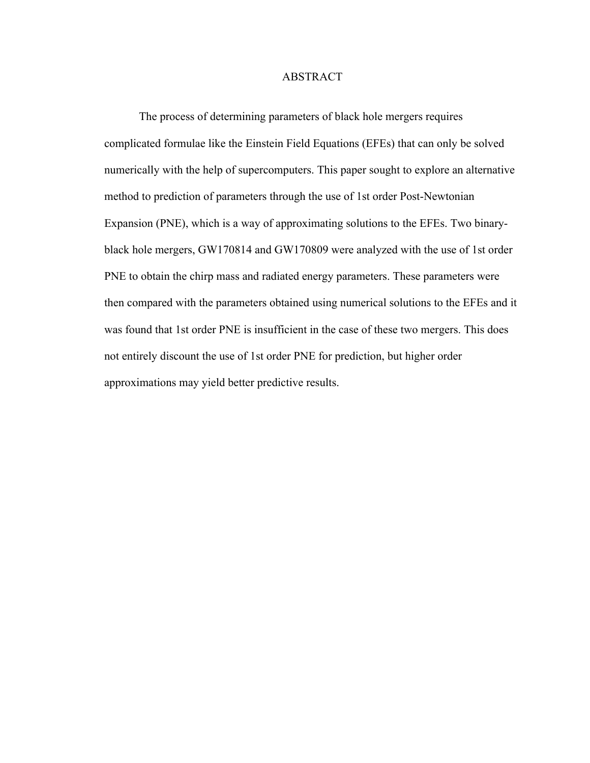## ABSTRACT

The process of determining parameters of black hole mergers requires complicated formulae like the Einstein Field Equations (EFEs) that can only be solved numerically with the help of supercomputers. This paper sought to explore an alternative method to prediction of parameters through the use of 1st order Post-Newtonian Expansion (PNE), which is a way of approximating solutions to the EFEs. Two binaryblack hole mergers, GW170814 and GW170809 were analyzed with the use of 1st order PNE to obtain the chirp mass and radiated energy parameters. These parameters were then compared with the parameters obtained using numerical solutions to the EFEs and it was found that 1st order PNE is insufficient in the case of these two mergers. This does not entirely discount the use of 1st order PNE for prediction, but higher order approximations may yield better predictive results.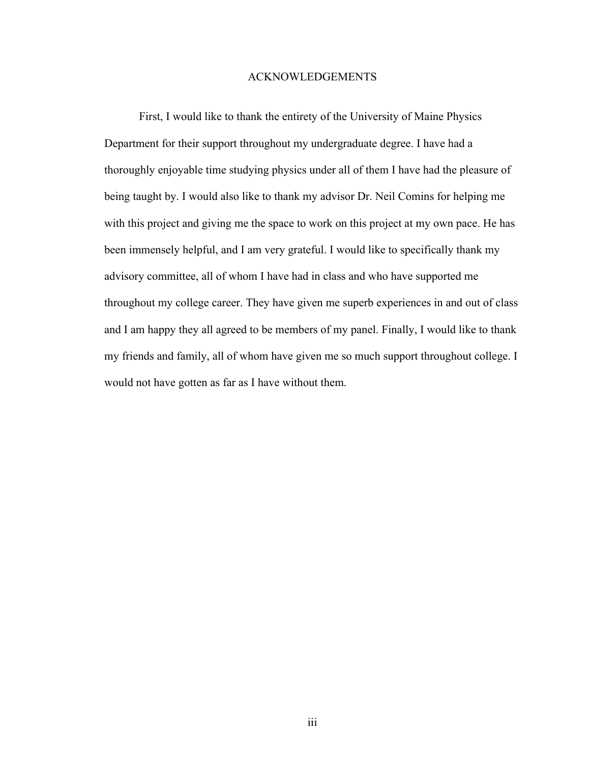## ACKNOWLEDGEMENTS

First, I would like to thank the entirety of the University of Maine Physics Department for their support throughout my undergraduate degree. I have had a thoroughly enjoyable time studying physics under all of them I have had the pleasure of being taught by. I would also like to thank my advisor Dr. Neil Comins for helping me with this project and giving me the space to work on this project at my own pace. He has been immensely helpful, and I am very grateful. I would like to specifically thank my advisory committee, all of whom I have had in class and who have supported me throughout my college career. They have given me superb experiences in and out of class and I am happy they all agreed to be members of my panel. Finally, I would like to thank my friends and family, all of whom have given me so much support throughout college. I would not have gotten as far as I have without them.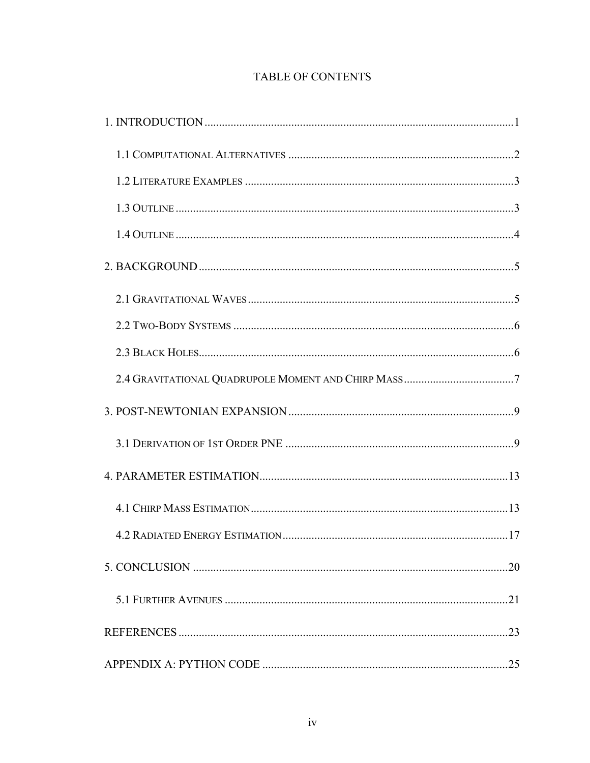## TABLE OF CONTENTS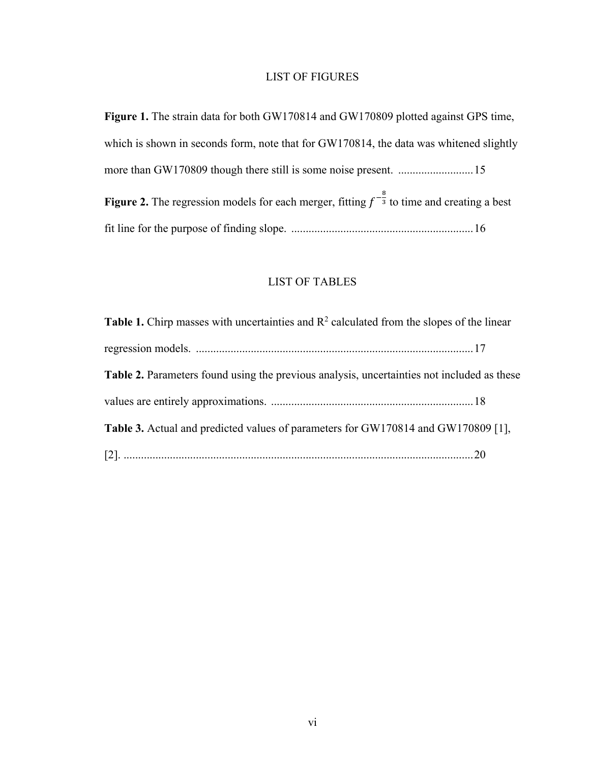## LIST OF FIGURES

**Figure 1.** The strain data for both GW170814 and GW170809 plotted against GPS time, which is shown in seconds form, note that for GW170814, the data was whitened slightly more than GW170809 though there still is some noise present. ..........................15 **Figure 2.** The regression models for each merger, fitting  $f^{-\frac{8}{3}}$  to time and creating a best fit line for the purpose of finding slope. ...............................................................16

## LIST OF TABLES

| <b>Table 1.</b> Chirp masses with uncertainties and $R^2$ calculated from the slopes of the linear |  |
|----------------------------------------------------------------------------------------------------|--|
|                                                                                                    |  |
| Table 2. Parameters found using the previous analysis, uncertainties not included as these         |  |
|                                                                                                    |  |
| Table 3. Actual and predicted values of parameters for GW170814 and GW170809 [1],                  |  |
|                                                                                                    |  |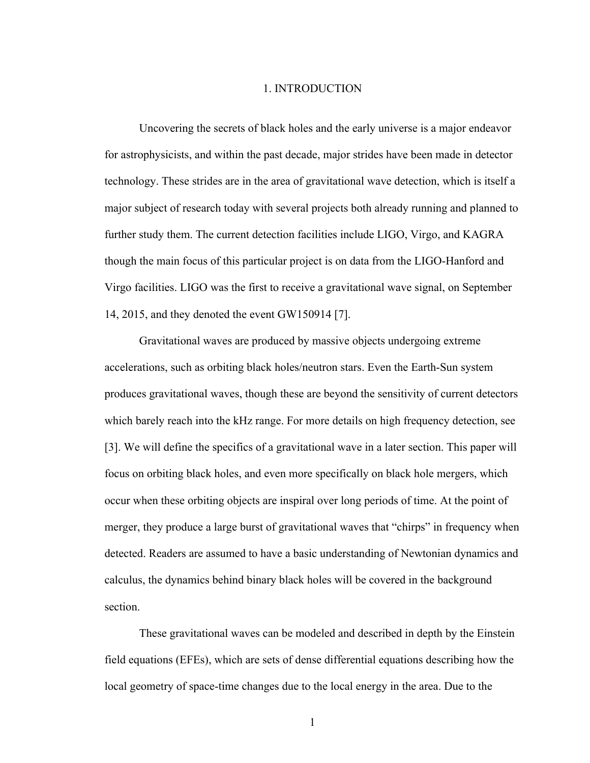#### 1. INTRODUCTION

Uncovering the secrets of black holes and the early universe is a major endeavor for astrophysicists, and within the past decade, major strides have been made in detector technology. These strides are in the area of gravitational wave detection, which is itself a major subject of research today with several projects both already running and planned to further study them. The current detection facilities include LIGO, Virgo, and KAGRA though the main focus of this particular project is on data from the LIGO-Hanford and Virgo facilities. LIGO was the first to receive a gravitational wave signal, on September 14, 2015, and they denoted the event GW150914 [7].

Gravitational waves are produced by massive objects undergoing extreme accelerations, such as orbiting black holes/neutron stars. Even the Earth-Sun system produces gravitational waves, though these are beyond the sensitivity of current detectors which barely reach into the kHz range. For more details on high frequency detection, see [3]. We will define the specifics of a gravitational wave in a later section. This paper will focus on orbiting black holes, and even more specifically on black hole mergers, which occur when these orbiting objects are inspiral over long periods of time. At the point of merger, they produce a large burst of gravitational waves that "chirps" in frequency when detected. Readers are assumed to have a basic understanding of Newtonian dynamics and calculus, the dynamics behind binary black holes will be covered in the background section.

These gravitational waves can be modeled and described in depth by the Einstein field equations (EFEs), which are sets of dense differential equations describing how the local geometry of space-time changes due to the local energy in the area. Due to the

1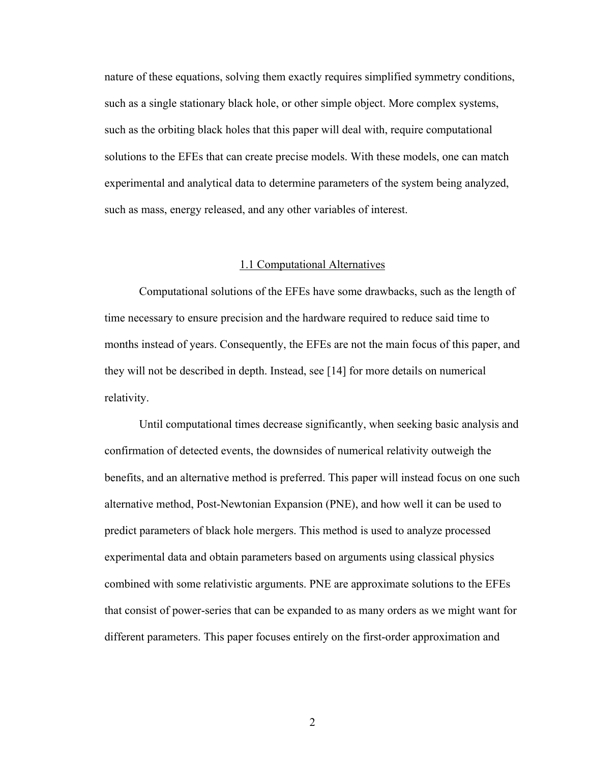nature of these equations, solving them exactly requires simplified symmetry conditions, such as a single stationary black hole, or other simple object. More complex systems, such as the orbiting black holes that this paper will deal with, require computational solutions to the EFEs that can create precise models. With these models, one can match experimental and analytical data to determine parameters of the system being analyzed, such as mass, energy released, and any other variables of interest.

#### 1.1 Computational Alternatives

Computational solutions of the EFEs have some drawbacks, such as the length of time necessary to ensure precision and the hardware required to reduce said time to months instead of years. Consequently, the EFEs are not the main focus of this paper, and they will not be described in depth. Instead, see [14] for more details on numerical relativity.

Until computational times decrease significantly, when seeking basic analysis and confirmation of detected events, the downsides of numerical relativity outweigh the benefits, and an alternative method is preferred. This paper will instead focus on one such alternative method, Post-Newtonian Expansion (PNE), and how well it can be used to predict parameters of black hole mergers. This method is used to analyze processed experimental data and obtain parameters based on arguments using classical physics combined with some relativistic arguments. PNE are approximate solutions to the EFEs that consist of power-series that can be expanded to as many orders as we might want for different parameters. This paper focuses entirely on the first-order approximation and

2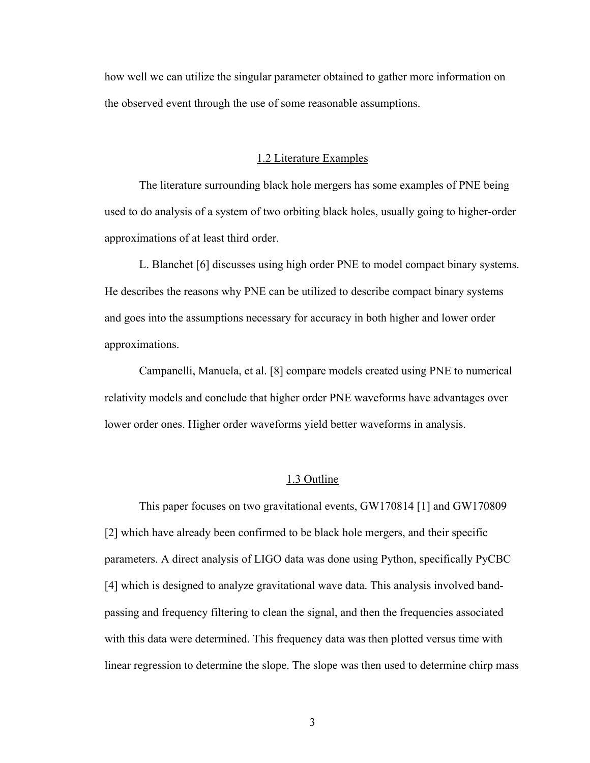how well we can utilize the singular parameter obtained to gather more information on the observed event through the use of some reasonable assumptions.

#### 1.2 Literature Examples

The literature surrounding black hole mergers has some examples of PNE being used to do analysis of a system of two orbiting black holes, usually going to higher-order approximations of at least third order.

L. Blanchet [6] discusses using high order PNE to model compact binary systems. He describes the reasons why PNE can be utilized to describe compact binary systems and goes into the assumptions necessary for accuracy in both higher and lower order approximations.

Campanelli, Manuela, et al. [8] compare models created using PNE to numerical relativity models and conclude that higher order PNE waveforms have advantages over lower order ones. Higher order waveforms yield better waveforms in analysis.

#### 1.3 Outline

This paper focuses on two gravitational events, GW170814 [1] and GW170809 [2] which have already been confirmed to be black hole mergers, and their specific parameters. A direct analysis of LIGO data was done using Python, specifically PyCBC [4] which is designed to analyze gravitational wave data. This analysis involved bandpassing and frequency filtering to clean the signal, and then the frequencies associated with this data were determined. This frequency data was then plotted versus time with linear regression to determine the slope. The slope was then used to determine chirp mass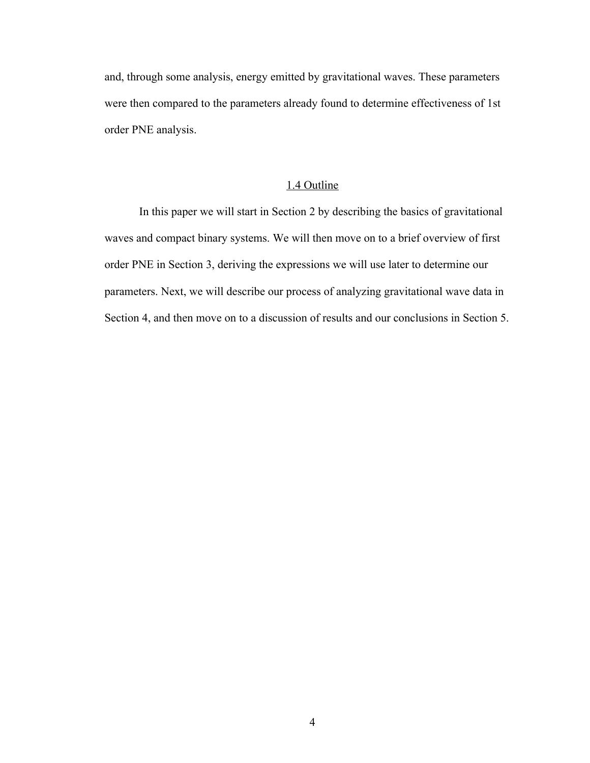and, through some analysis, energy emitted by gravitational waves. These parameters were then compared to the parameters already found to determine effectiveness of 1st order PNE analysis.

## 1.4 Outline

In this paper we will start in Section 2 by describing the basics of gravitational waves and compact binary systems. We will then move on to a brief overview of first order PNE in Section 3, deriving the expressions we will use later to determine our parameters. Next, we will describe our process of analyzing gravitational wave data in Section 4, and then move on to a discussion of results and our conclusions in Section 5.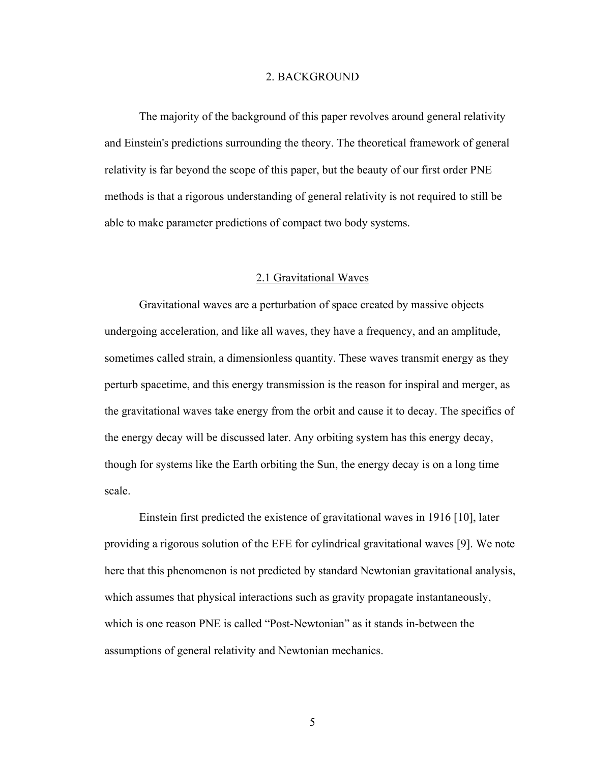#### 2. BACKGROUND

The majority of the background of this paper revolves around general relativity and Einstein's predictions surrounding the theory. The theoretical framework of general relativity is far beyond the scope of this paper, but the beauty of our first order PNE methods is that a rigorous understanding of general relativity is not required to still be able to make parameter predictions of compact two body systems.

#### 2.1 Gravitational Waves

Gravitational waves are a perturbation of space created by massive objects undergoing acceleration, and like all waves, they have a frequency, and an amplitude, sometimes called strain, a dimensionless quantity. These waves transmit energy as they perturb spacetime, and this energy transmission is the reason for inspiral and merger, as the gravitational waves take energy from the orbit and cause it to decay. The specifics of the energy decay will be discussed later. Any orbiting system has this energy decay, though for systems like the Earth orbiting the Sun, the energy decay is on a long time scale.

Einstein first predicted the existence of gravitational waves in 1916 [10], later providing a rigorous solution of the EFE for cylindrical gravitational waves [9]. We note here that this phenomenon is not predicted by standard Newtonian gravitational analysis, which assumes that physical interactions such as gravity propagate instantaneously, which is one reason PNE is called "Post-Newtonian" as it stands in-between the assumptions of general relativity and Newtonian mechanics.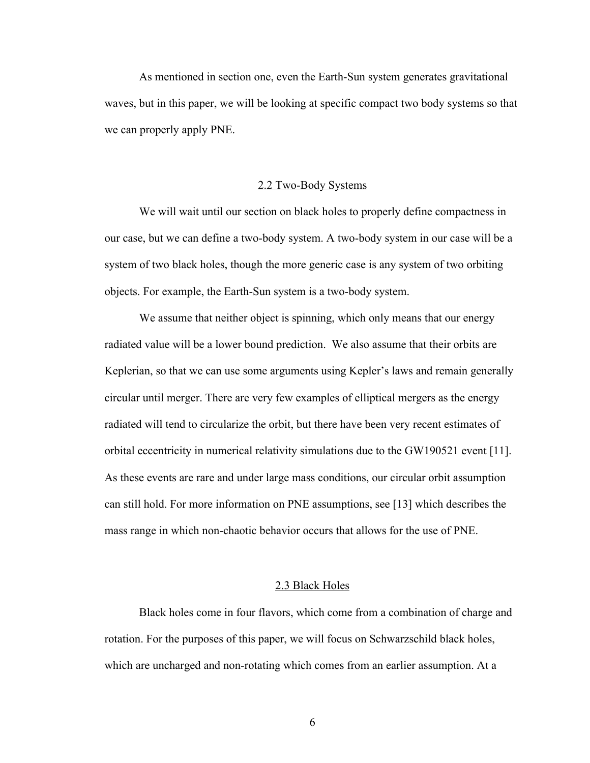As mentioned in section one, even the Earth-Sun system generates gravitational waves, but in this paper, we will be looking at specific compact two body systems so that we can properly apply PNE.

#### 2.2 Two-Body Systems

We will wait until our section on black holes to properly define compactness in our case, but we can define a two-body system. A two-body system in our case will be a system of two black holes, though the more generic case is any system of two orbiting objects. For example, the Earth-Sun system is a two-body system.

We assume that neither object is spinning, which only means that our energy radiated value will be a lower bound prediction. We also assume that their orbits are Keplerian, so that we can use some arguments using Kepler's laws and remain generally circular until merger. There are very few examples of elliptical mergers as the energy radiated will tend to circularize the orbit, but there have been very recent estimates of orbital eccentricity in numerical relativity simulations due to the GW190521 event [11]. As these events are rare and under large mass conditions, our circular orbit assumption can still hold. For more information on PNE assumptions, see [13] which describes the mass range in which non-chaotic behavior occurs that allows for the use of PNE.

#### 2.3 Black Holes

Black holes come in four flavors, which come from a combination of charge and rotation. For the purposes of this paper, we will focus on Schwarzschild black holes, which are uncharged and non-rotating which comes from an earlier assumption. At a

6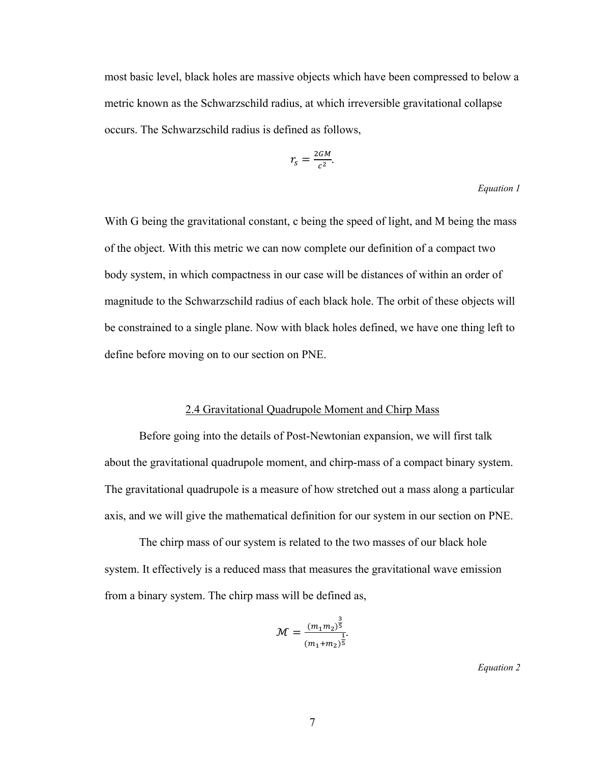most basic level, black holes are massive objects which have been compressed to below a metric known as the Schwarzschild radius, at which irreversible gravitational collapse occurs. The Schwarzschild radius is defined as follows,

$$
r_s = \frac{2GM}{c^2}.
$$

#### *Equation 1*

With G being the gravitational constant, c being the speed of light, and M being the mass of the object. With this metric we can now complete our definition of a compact two body system, in which compactness in our case will be distances of within an order of magnitude to the Schwarzschild radius of each black hole. The orbit of these objects will be constrained to a single plane. Now with black holes defined, we have one thing left to define before moving on to our section on PNE.

#### 2.4 Gravitational Quadrupole Moment and Chirp Mass

Before going into the details of Post-Newtonian expansion, we will first talk about the gravitational quadrupole moment, and chirp-mass of a compact binary system. The gravitational quadrupole is a measure of how stretched out a mass along a particular axis, and we will give the mathematical definition for our system in our section on PNE.

The chirp mass of our system is related to the two masses of our black hole system. It effectively is a reduced mass that measures the gravitational wave emission from a binary system. The chirp mass will be defined as,

$$
\mathcal{M} = \frac{(m_1 m_2)^{\frac{3}{5}}}{(m_1 + m_2)^{\frac{1}{5}}}.
$$

*Equation 2*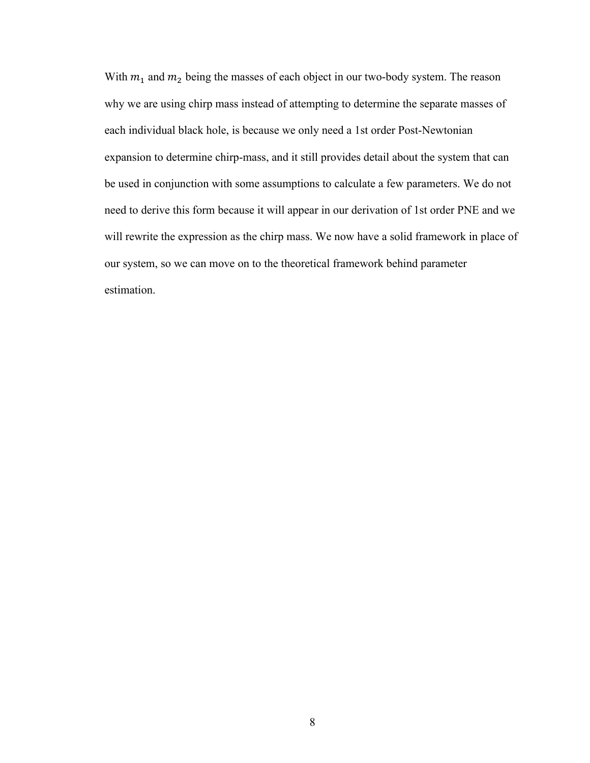With  $m_1$  and  $m_2$  being the masses of each object in our two-body system. The reason why we are using chirp mass instead of attempting to determine the separate masses of each individual black hole, is because we only need a 1st order Post-Newtonian expansion to determine chirp-mass, and it still provides detail about the system that can be used in conjunction with some assumptions to calculate a few parameters. We do not need to derive this form because it will appear in our derivation of 1st order PNE and we will rewrite the expression as the chirp mass. We now have a solid framework in place of our system, so we can move on to the theoretical framework behind parameter estimation.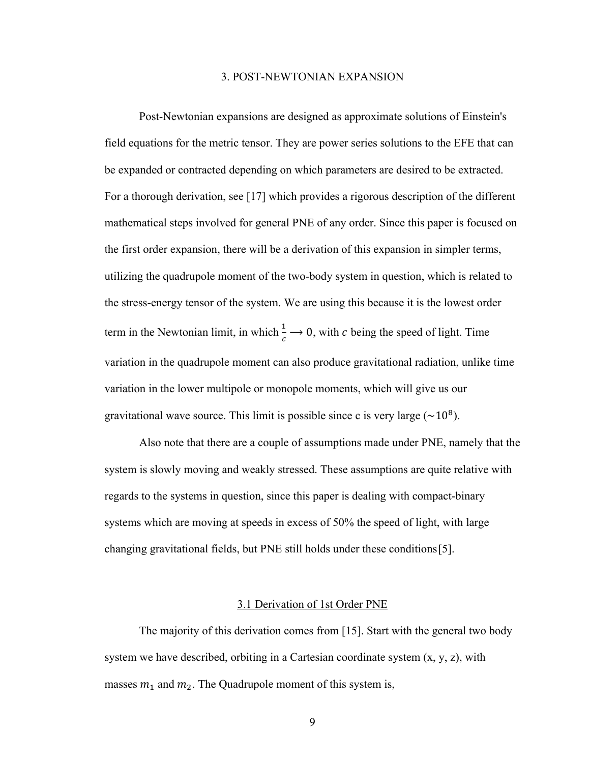#### 3. POST-NEWTONIAN EXPANSION

Post-Newtonian expansions are designed as approximate solutions of Einstein's field equations for the metric tensor. They are power series solutions to the EFE that can be expanded or contracted depending on which parameters are desired to be extracted. For a thorough derivation, see [17] which provides a rigorous description of the different mathematical steps involved for general PNE of any order. Since this paper is focused on the first order expansion, there will be a derivation of this expansion in simpler terms, utilizing the quadrupole moment of the two-body system in question, which is related to the stress-energy tensor of the system. We are using this because it is the lowest order term in the Newtonian limit, in which  $\frac{1}{c} \rightarrow 0$ , with c being the speed of light. Time variation in the quadrupole moment can also produce gravitational radiation, unlike time variation in the lower multipole or monopole moments, which will give us our gravitational wave source. This limit is possible since c is very large  $(\sim 10^8)$ .

Also note that there are a couple of assumptions made under PNE, namely that the system is slowly moving and weakly stressed. These assumptions are quite relative with regards to the systems in question, since this paper is dealing with compact-binary systems which are moving at speeds in excess of 50% the speed of light, with large changing gravitational fields, but PNE still holds under these conditions[5].

## 3.1 Derivation of 1st Order PNE

The majority of this derivation comes from [15]. Start with the general two body system we have described, orbiting in a Cartesian coordinate system  $(x, y, z)$ , with masses  $m_1$  and  $m_2$ . The Quadrupole moment of this system is,

9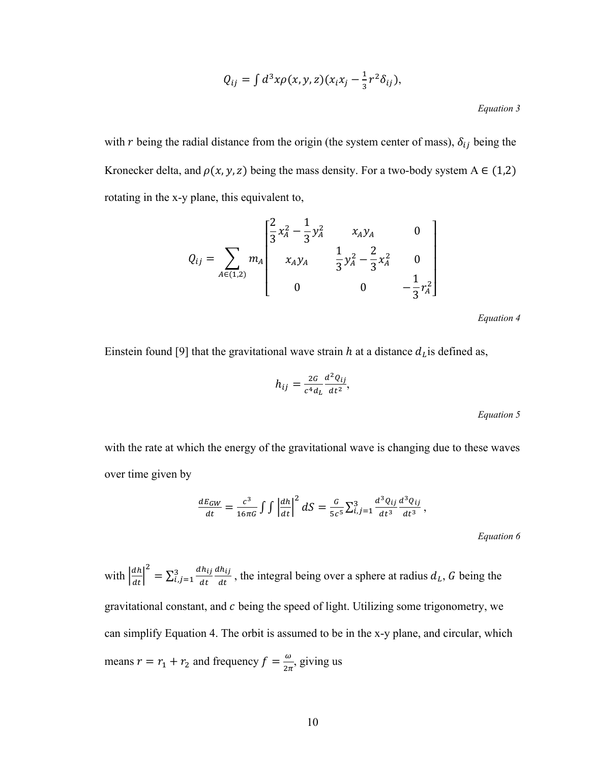$$
Q_{ij} = \int d^3x \rho(x, y, z)(x_i x_j - \frac{1}{3}r^2 \delta_{ij}),
$$

*Equation 3*

with r being the radial distance from the origin (the system center of mass),  $\delta_{ij}$  being the Kronecker delta, and  $\rho(x, y, z)$  being the mass density. For a two-body system A  $\in (1,2)$ rotating in the x-y plane, this equivalent to,

$$
Q_{ij} = \sum_{A \in (1,2)} m_A \begin{bmatrix} \frac{2}{3}x_A^2 - \frac{1}{3}y_A^2 & x_A y_A & 0\\ x_A y_A & \frac{1}{3}y_A^2 - \frac{2}{3}x_A^2 & 0\\ 0 & 0 & -\frac{1}{3}x_A^2 \end{bmatrix}
$$

*Equation 4*

Einstein found [9] that the gravitational wave strain  $h$  at a distance  $d_l$  is defined as,

$$
h_{ij} = \frac{2G}{c^4 d_L} \frac{d^2 Q_{ij}}{dt^2},
$$

*Equation 5*

with the rate at which the energy of the gravitational wave is changing due to these waves over time given by

$$
\frac{dE_{GW}}{dt} = \frac{c^3}{16\pi G} \int \int \left| \frac{dh}{dt} \right|^2 dS = \frac{G}{5c^5} \sum_{i,j=1}^3 \frac{d^3 Q_{ij}}{dt^3} \frac{d^3 Q_{ij}}{dt^3},
$$

*Equation 6*

with  $\left| \frac{dh}{dt} \right|^2 = \sum_{i,j=1}^3 \frac{dh_{ij}}{dt}$  $dh_{ij}$  $dt$  $\frac{a_{i,j}}{a_{i,j+1}}$   $\frac{a_{i,j}}{a_{i,j}}$ , the integral being over a sphere at radius  $d_L$ , G being the gravitational constant, and  $c$  being the speed of light. Utilizing some trigonometry, we can simplify Equation 4. The orbit is assumed to be in the x-y plane, and circular, which means  $r = r_1 + r_2$  and frequency  $f = \frac{\omega}{2\pi}$ , giving us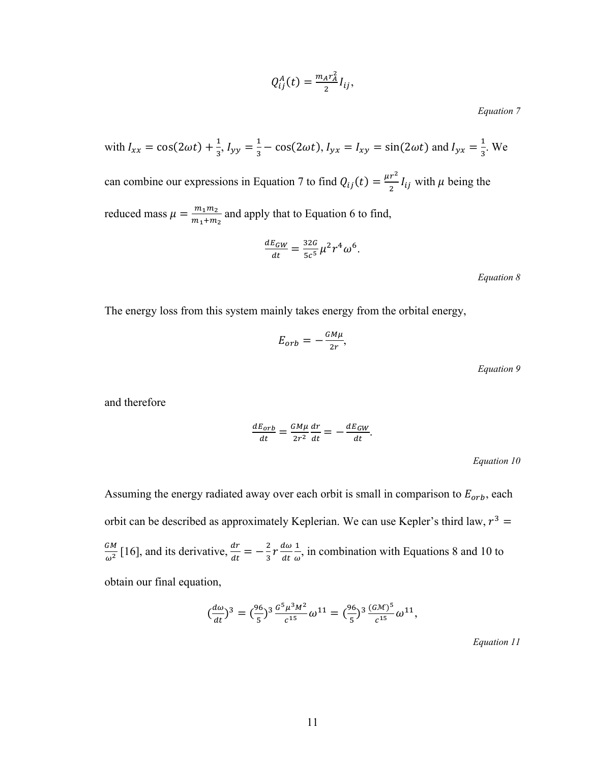$$
Q_{ij}^A(t) = \frac{m_A r_A^2}{2} I_{ij},
$$

*Equation 7*

with 
$$
I_{xx} = \cos(2\omega t) + \frac{1}{3}
$$
,  $I_{yy} = \frac{1}{3} - \cos(2\omega t)$ ,  $I_{yx} = I_{xy} = \sin(2\omega t)$  and  $I_{yx} = \frac{1}{3}$ . We  
can combine our expressions in Equation 7 to find  $Q_{ij}(t) = \frac{\mu r^2}{2} I_{ij}$  with  $\mu$  being the  
reduced mass  $\mu = \frac{m_1 m_2}{m_1 + m_2}$  and apply that to Equation 6 to find,

$$
\frac{dE_{GW}}{dt} = \frac{32G}{5c^5} \mu^2 r^4 \omega^6.
$$

*Equation 8*

The energy loss from this system mainly takes energy from the orbital energy,

$$
E_{orb} = -\frac{GM\mu}{2r},
$$

*Equation 9*

and therefore

$$
\frac{dE_{orb}}{dt} = \frac{GM\mu}{2r^2}\frac{dr}{dt} = -\frac{dE_{GW}}{dt}.
$$

*Equation 10*

Assuming the energy radiated away over each orbit is small in comparison to  $E_{orb}$ , each orbit can be described as approximately Keplerian. We can use Kepler's third law,  $r^3$  =  $\frac{GM}{\omega^2}$  [16], and its derivative,  $\frac{dr}{dt} = -\frac{2}{3}r \frac{d\omega}{dt}$  $dt$  $\frac{1}{\omega}$ , in combination with Equations 8 and 10 to obtain our final equation,

$$
\left(\frac{d\omega}{dt}\right)^3 = \left(\frac{96}{5}\right)^3 \frac{G^5 \mu^3 M^2}{c^{15}} \omega^{11} = \left(\frac{96}{5}\right)^3 \frac{(G\mathcal{M})^5}{c^{15}} \omega^{11},
$$

*Equation 11*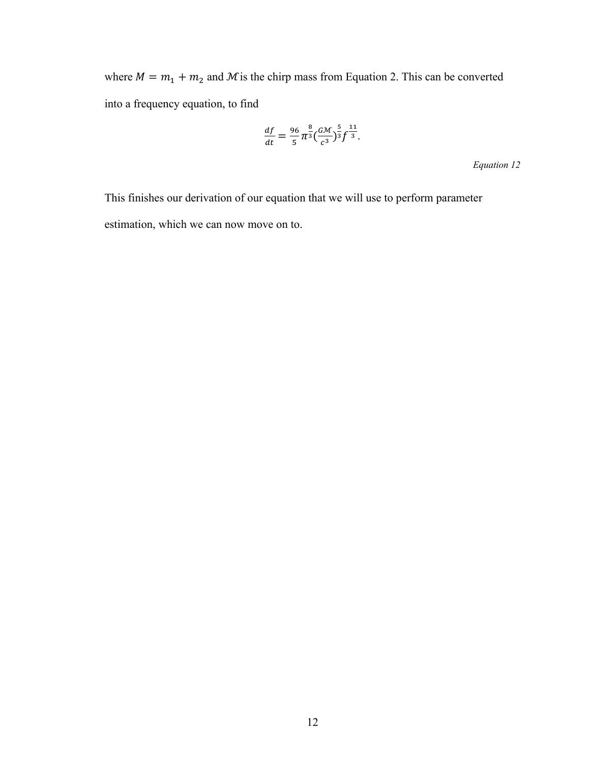where  $M = m_1 + m_2$  and M is the chirp mass from Equation 2. This can be converted into a frequency equation, to find

$$
\frac{df}{dt} = \frac{96}{5} \pi^{\frac{8}{3}} \left(\frac{GM}{c^3}\right)^{\frac{5}{3}} f^{\frac{11}{3}}.
$$

*Equation 12*

This finishes our derivation of our equation that we will use to perform parameter estimation, which we can now move on to.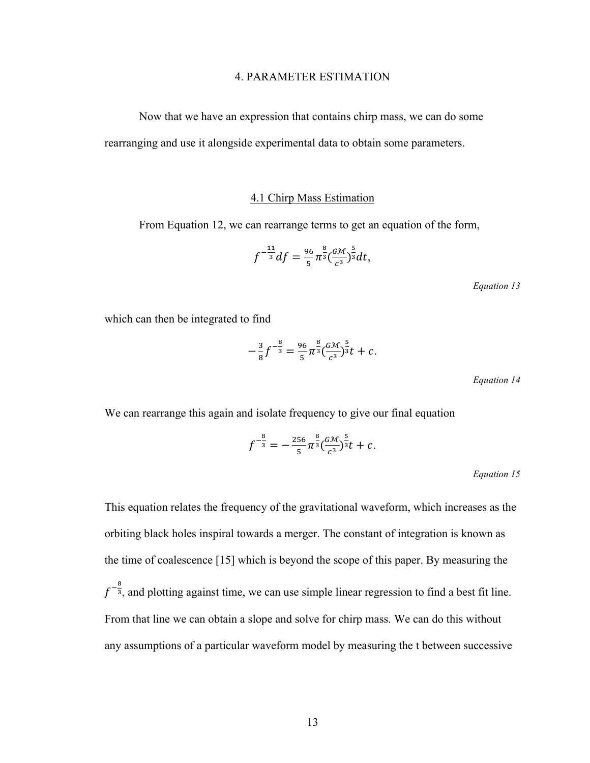#### 4. PARAMETER ESTIMATION

Now that we have an expression that contains chirp mass, we can do some rearranging and use it alongside experimental data to obtain some parameters.

#### 4.1 Chirp Mass Estimation

From Equation 12, we can rearrange terms to get an equation of the form,

$$
f^{-\frac{11}{3}}df = \frac{96}{5}\pi^{\frac{8}{3}}\left(\frac{GM}{c^3}\right)^{\frac{5}{3}}dt,
$$

*Equation 13*

which can then be integrated to find

$$
-\frac{3}{8}f^{-\frac{8}{3}} = \frac{96}{5}\pi^{\frac{8}{3}}(\frac{GM}{c^3})^{\frac{5}{3}}t + c.
$$

*Equation 14*

We can rearrange this again and isolate frequency to give our final equation

$$
f^{-\frac{8}{3}} = -\frac{256}{5} \pi^{\frac{8}{3}} \left(\frac{G\mathcal{M}}{c^3}\right)^{\frac{5}{3}} t + c.
$$

*Equation 15*

This equation relates the frequency of the gravitational waveform, which increases as the orbiting black holes inspiral towards a merger. The constant of integration is known as the time of coalescence [15] which is beyond the scope of this paper. By measuring the  $f^{-\frac{8}{3}}$ , and plotting against time, we can use simple linear regression to find a best fit line. From that line we can obtain a slope and solve for chirp mass. We can do this without any assumptions of a particular waveform model by measuring the t between successive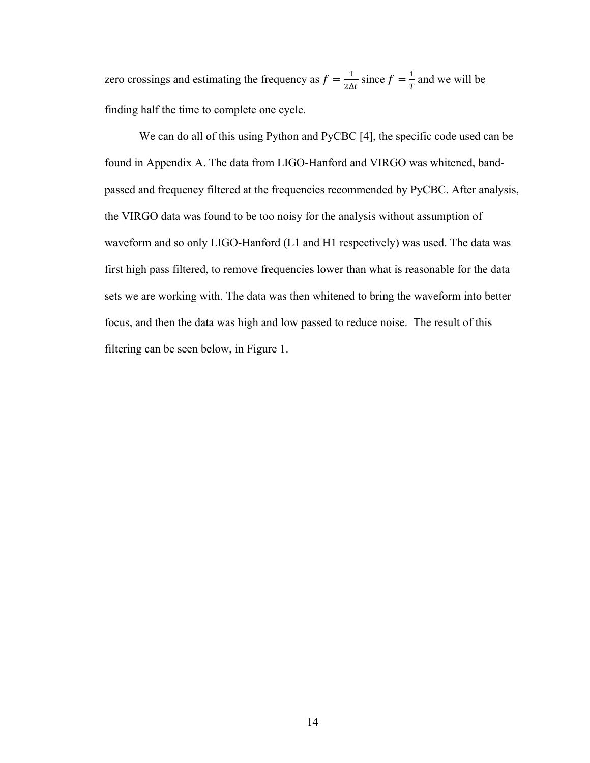zero crossings and estimating the frequency as  $f = \frac{1}{2\Delta t}$  since  $f = \frac{1}{T}$  and we will be finding half the time to complete one cycle.

We can do all of this using Python and PyCBC [4], the specific code used can be found in Appendix A. The data from LIGO-Hanford and VIRGO was whitened, bandpassed and frequency filtered at the frequencies recommended by PyCBC. After analysis, the VIRGO data was found to be too noisy for the analysis without assumption of waveform and so only LIGO-Hanford (L1 and H1 respectively) was used. The data was first high pass filtered, to remove frequencies lower than what is reasonable for the data sets we are working with. The data was then whitened to bring the waveform into better focus, and then the data was high and low passed to reduce noise. The result of this filtering can be seen below, in Figure 1.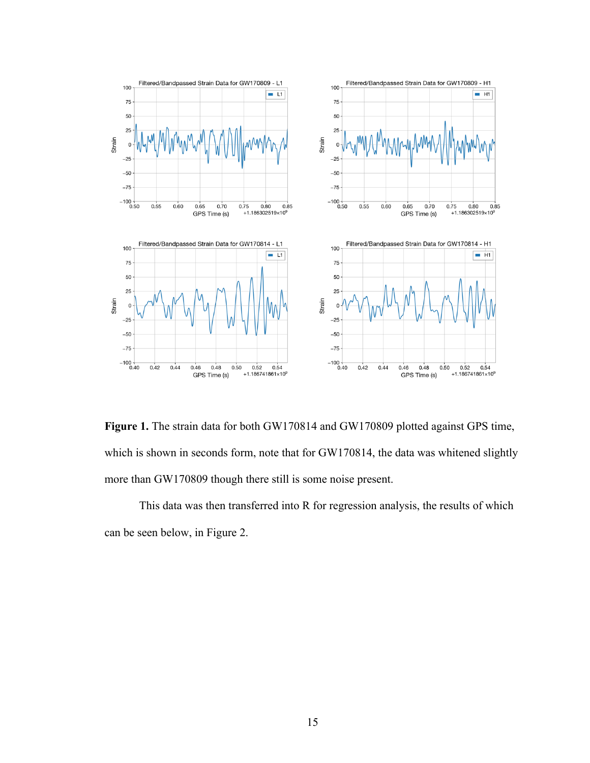

**Figure 1.** The strain data for both GW170814 and GW170809 plotted against GPS time, which is shown in seconds form, note that for GW170814, the data was whitened slightly more than GW170809 though there still is some noise present.

This data was then transferred into R for regression analysis, the results of which can be seen below, in Figure 2.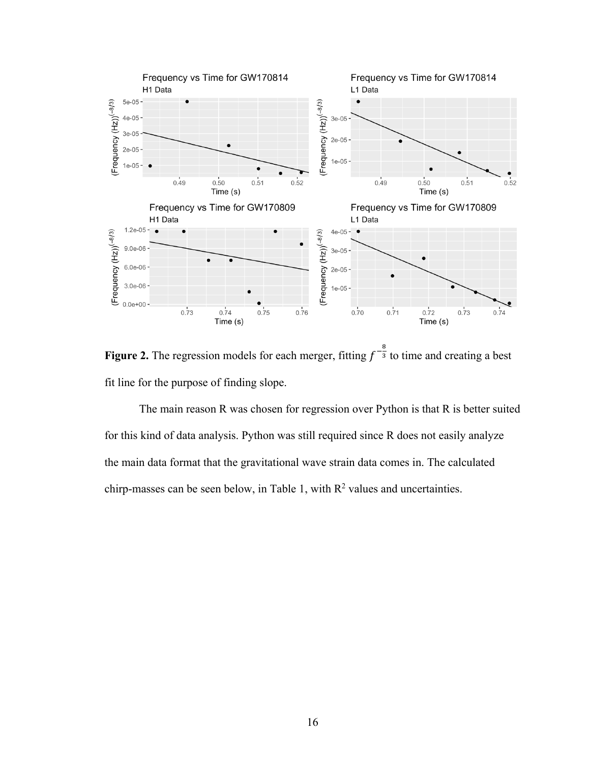

**Figure 2.** The regression models for each merger, fitting  $f^{-\frac{8}{3}}$  to time and creating a best fit line for the purpose of finding slope.

The main reason R was chosen for regression over Python is that R is better suited for this kind of data analysis. Python was still required since R does not easily analyze the main data format that the gravitational wave strain data comes in. The calculated chirp-masses can be seen below, in Table 1, with  $R^2$  values and uncertainties.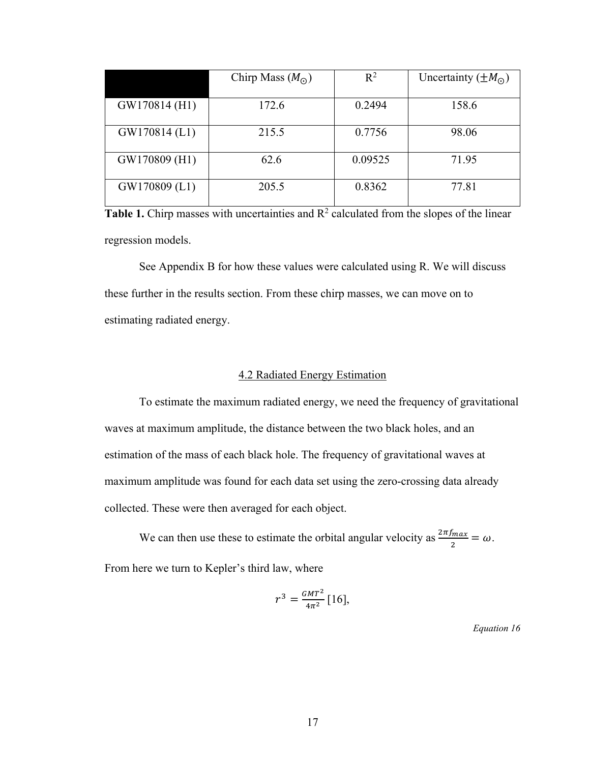|               | Chirp Mass $(M_{\odot})$ | $R^2$   | Uncertainty $(\pm M_{\odot})$ |
|---------------|--------------------------|---------|-------------------------------|
|               |                          |         |                               |
| GW170814 (H1) | 172.6                    | 0.2494  | 158.6                         |
|               |                          |         |                               |
| GW170814 (L1) | 215.5                    | 0.7756  | 98.06                         |
|               |                          |         |                               |
| GW170809 (H1) | 62.6                     | 0.09525 | 71.95                         |
|               |                          |         |                               |
| GW170809 (L1) | 205.5                    | 0.8362  | 77.81                         |
|               |                          |         |                               |

Table 1. Chirp masses with uncertainties and R<sup>2</sup> calculated from the slopes of the linear regression models.

See Appendix B for how these values were calculated using R. We will discuss these further in the results section. From these chirp masses, we can move on to estimating radiated energy.

#### 4.2 Radiated Energy Estimation

To estimate the maximum radiated energy, we need the frequency of gravitational waves at maximum amplitude, the distance between the two black holes, and an estimation of the mass of each black hole. The frequency of gravitational waves at maximum amplitude was found for each data set using the zero-crossing data already collected. These were then averaged for each object.

We can then use these to estimate the orbital angular velocity as  $\frac{2\pi f_{max}}{2} = \omega$ . From here we turn to Kepler's third law, where

$$
r^3 = \frac{GMT^2}{4\pi^2} [16],
$$

*Equation 16*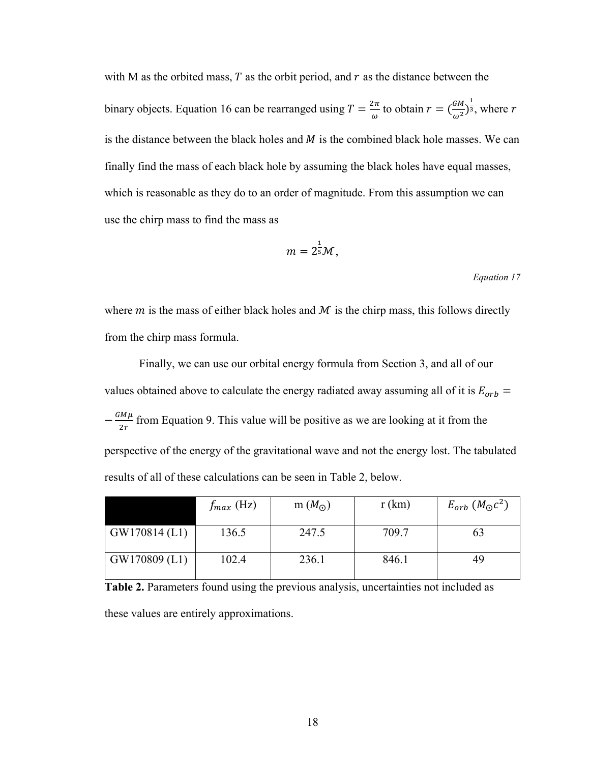with M as the orbited mass,  $T$  as the orbit period, and  $r$  as the distance between the binary objects. Equation 16 can be rearranged using  $T = \frac{2\pi}{\omega}$  to obtain  $r = (\frac{GM}{\omega^2})^{\frac{1}{3}}$ , where  $r$ is the distance between the black holes and  $M$  is the combined black hole masses. We can finally find the mass of each black hole by assuming the black holes have equal masses, which is reasonable as they do to an order of magnitude. From this assumption we can use the chirp mass to find the mass as

$$
m=2^{\frac{1}{5}}\mathcal{M},
$$

*Equation 17*

where  $m$  is the mass of either black holes and  $M$  is the chirp mass, this follows directly from the chirp mass formula.

Finally, we can use our orbital energy formula from Section 3, and all of our values obtained above to calculate the energy radiated away assuming all of it is  $E_{orb}$  =  $-\frac{GM\mu}{2r}$  from Equation 9. This value will be positive as we are looking at it from the perspective of the energy of the gravitational wave and not the energy lost. The tabulated results of all of these calculations can be seen in Table 2, below.

|                 | $f_{max}$ (Hz) | m $(M_{\odot})$ | r(km) | $E_{orb}$ $(M_{\odot}c^2)$ |
|-----------------|----------------|-----------------|-------|----------------------------|
| $GW170814$ (L1) | 136.5          | 247.5           | 709.7 | 63                         |
| $GW170809$ (L1) | 102.4          | 236.1           | 846.1 | 49                         |

**Table 2.** Parameters found using the previous analysis, uncertainties not included as these values are entirely approximations.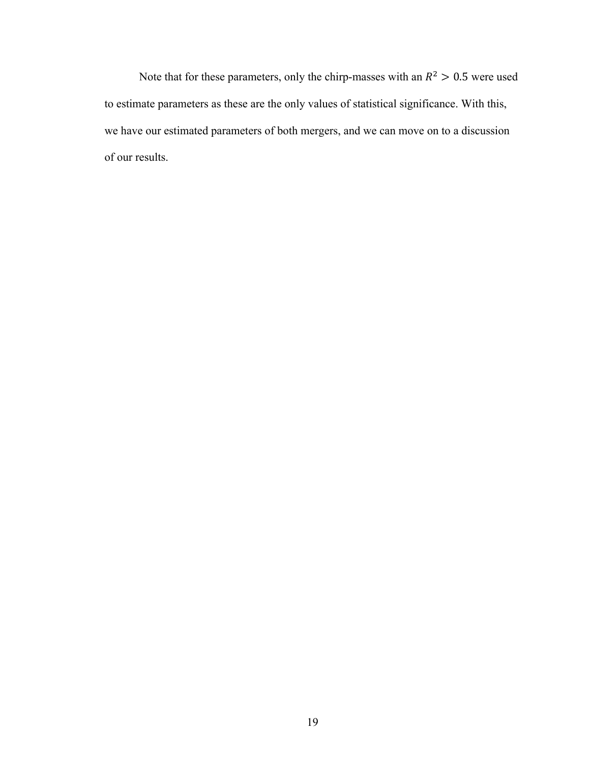Note that for these parameters, only the chirp-masses with an  $R^2 > 0.5$  were used to estimate parameters as these are the only values of statistical significance. With this, we have our estimated parameters of both mergers, and we can move on to a discussion of our results.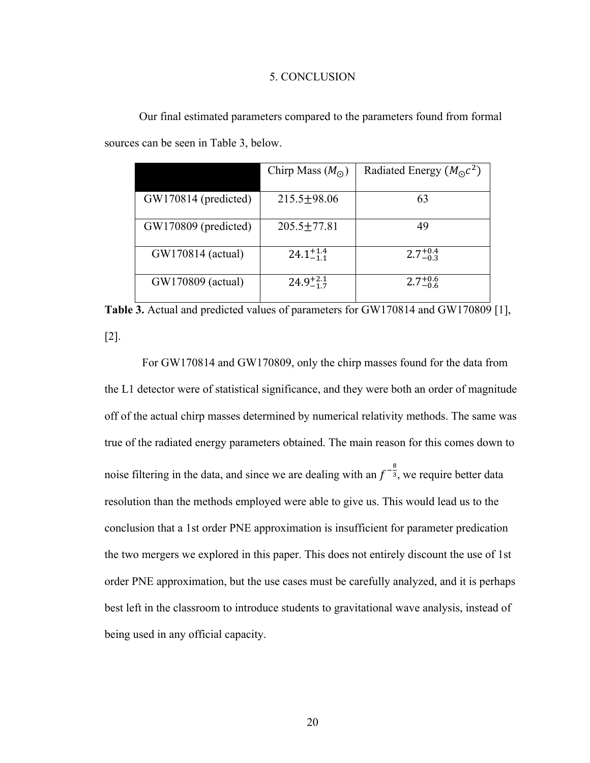#### 5. CONCLUSION

|                      | Chirp Mass $(Mo)$    | Radiated Energy $(M_{\odot}c^2)$ |
|----------------------|----------------------|----------------------------------|
| GW170814 (predicted) | $215.5 \pm 98.06$    | 63                               |
| GW170809 (predicted) | $205.5 \pm 77.81$    | 49                               |
| GW170814 (actual)    | $24.1^{+1.4}_{-1.1}$ | $2.7^{+0.4}_{-0.3}$              |
| GW170809 (actual)    | $24.9^{+2.1}_{-1.7}$ | $2.7^{+0.6}_{-0.6}$              |

Our final estimated parameters compared to the parameters found from formal sources can be seen in Table 3, below.

Table 3. Actual and predicted values of parameters for GW170814 and GW170809 [1], [2].

For GW170814 and GW170809, only the chirp masses found for the data from the L1 detector were of statistical significance, and they were both an order of magnitude off of the actual chirp masses determined by numerical relativity methods. The same was true of the radiated energy parameters obtained. The main reason for this comes down to noise filtering in the data, and since we are dealing with an  $f^{-\frac{8}{3}}$ , we require better data resolution than the methods employed were able to give us. This would lead us to the conclusion that a 1st order PNE approximation is insufficient for parameter predication the two mergers we explored in this paper. This does not entirely discount the use of 1st order PNE approximation, but the use cases must be carefully analyzed, and it is perhaps best left in the classroom to introduce students to gravitational wave analysis, instead of being used in any official capacity.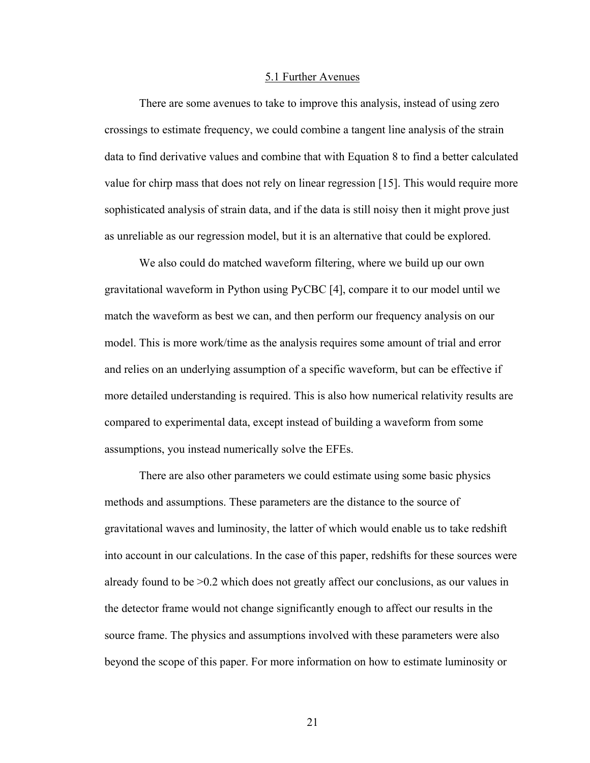#### 5.1 Further Avenues

There are some avenues to take to improve this analysis, instead of using zero crossings to estimate frequency, we could combine a tangent line analysis of the strain data to find derivative values and combine that with Equation 8 to find a better calculated value for chirp mass that does not rely on linear regression [15]. This would require more sophisticated analysis of strain data, and if the data is still noisy then it might prove just as unreliable as our regression model, but it is an alternative that could be explored.

We also could do matched waveform filtering, where we build up our own gravitational waveform in Python using PyCBC [4], compare it to our model until we match the waveform as best we can, and then perform our frequency analysis on our model. This is more work/time as the analysis requires some amount of trial and error and relies on an underlying assumption of a specific waveform, but can be effective if more detailed understanding is required. This is also how numerical relativity results are compared to experimental data, except instead of building a waveform from some assumptions, you instead numerically solve the EFEs.

There are also other parameters we could estimate using some basic physics methods and assumptions. These parameters are the distance to the source of gravitational waves and luminosity, the latter of which would enable us to take redshift into account in our calculations. In the case of this paper, redshifts for these sources were already found to be >0.2 which does not greatly affect our conclusions, as our values in the detector frame would not change significantly enough to affect our results in the source frame. The physics and assumptions involved with these parameters were also beyond the scope of this paper. For more information on how to estimate luminosity or

21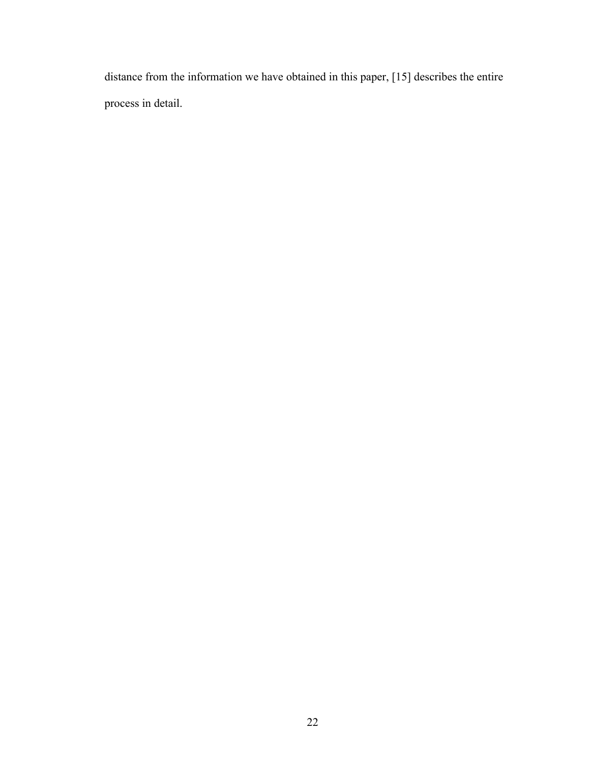distance from the information we have obtained in this paper, [15] describes the entire process in detail.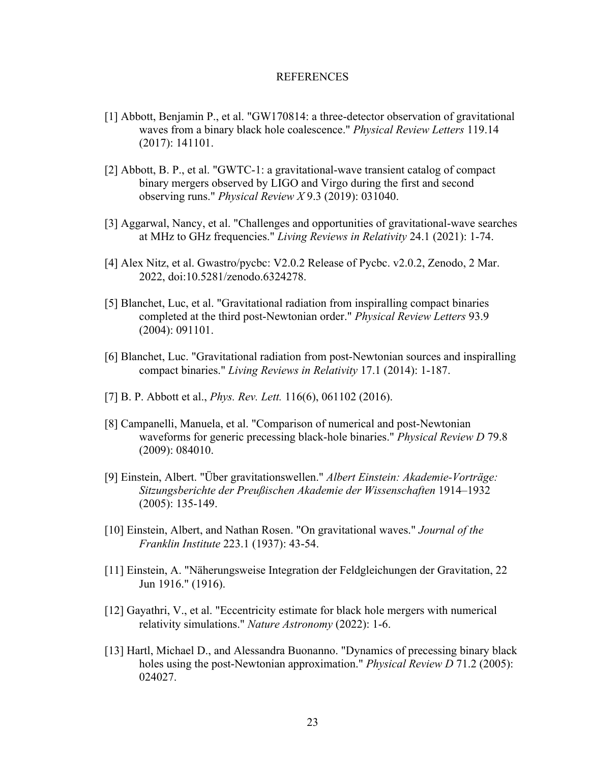#### **REFERENCES**

- [1] Abbott, Benjamin P., et al. "GW170814: a three-detector observation of gravitational waves from a binary black hole coalescence." *Physical Review Letters* 119.14 (2017): 141101.
- [2] Abbott, B. P., et al. "GWTC-1: a gravitational-wave transient catalog of compact binary mergers observed by LIGO and Virgo during the first and second observing runs." *Physical Review X* 9.3 (2019): 031040.
- [3] Aggarwal, Nancy, et al. "Challenges and opportunities of gravitational-wave searches at MHz to GHz frequencies." *Living Reviews in Relativity* 24.1 (2021): 1-74.
- [4] Alex Nitz, et al. Gwastro/pycbc: V2.0.2 Release of Pycbc. v2.0.2, Zenodo, 2 Mar. 2022, doi:10.5281/zenodo.6324278.
- [5] Blanchet, Luc, et al. "Gravitational radiation from inspiralling compact binaries completed at the third post-Newtonian order." *Physical Review Letters* 93.9 (2004): 091101.
- [6] Blanchet, Luc. "Gravitational radiation from post-Newtonian sources and inspiralling compact binaries." *Living Reviews in Relativity* 17.1 (2014): 1-187.
- [7] B. P. Abbott et al., *Phys. Rev. Lett.* 116(6), 061102 (2016).
- [8] Campanelli, Manuela, et al. "Comparison of numerical and post-Newtonian waveforms for generic precessing black-hole binaries." *Physical Review D* 79.8 (2009): 084010.
- [9] Einstein, Albert. "Über gravitationswellen." *Albert Einstein: Akademie‐Vorträge: Sitzungsberichte der Preußischen Akademie der Wissenschaften* 1914–1932 (2005): 135-149.
- [10] Einstein, Albert, and Nathan Rosen. "On gravitational waves." *Journal of the Franklin Institute* 223.1 (1937): 43-54.
- [11] Einstein, A. "Näherungsweise Integration der Feldgleichungen der Gravitation, 22 Jun 1916." (1916).
- [12] Gayathri, V., et al. "Eccentricity estimate for black hole mergers with numerical relativity simulations." *Nature Astronomy* (2022): 1-6.
- [13] Hartl, Michael D., and Alessandra Buonanno. "Dynamics of precessing binary black holes using the post-Newtonian approximation." *Physical Review D* 71.2 (2005): 024027.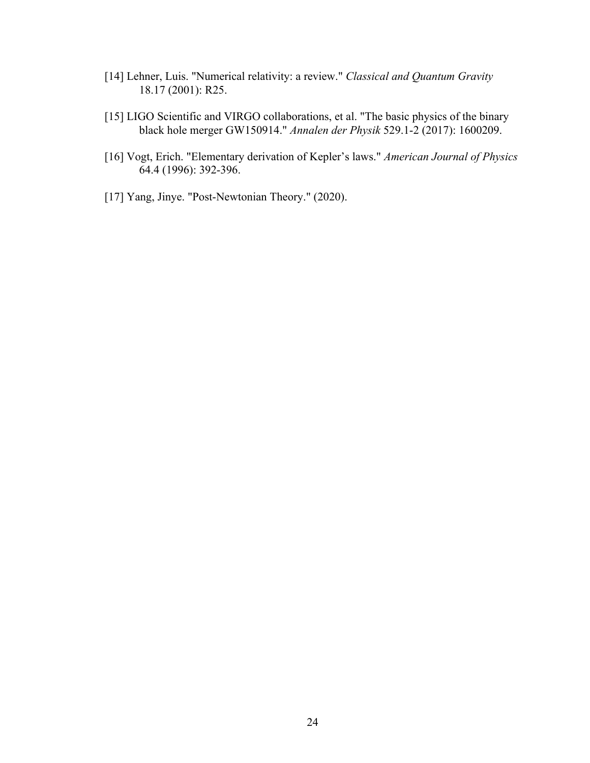- [14] Lehner, Luis. "Numerical relativity: a review." *Classical and Quantum Gravity* 18.17 (2001): R25.
- [15] LIGO Scientific and VIRGO collaborations, et al. "The basic physics of the binary black hole merger GW150914." *Annalen der Physik* 529.1-2 (2017): 1600209.
- [16] Vogt, Erich. "Elementary derivation of Kepler's laws." *American Journal of Physics* 64.4 (1996): 392-396.
- [17] Yang, Jinye. "Post-Newtonian Theory." (2020).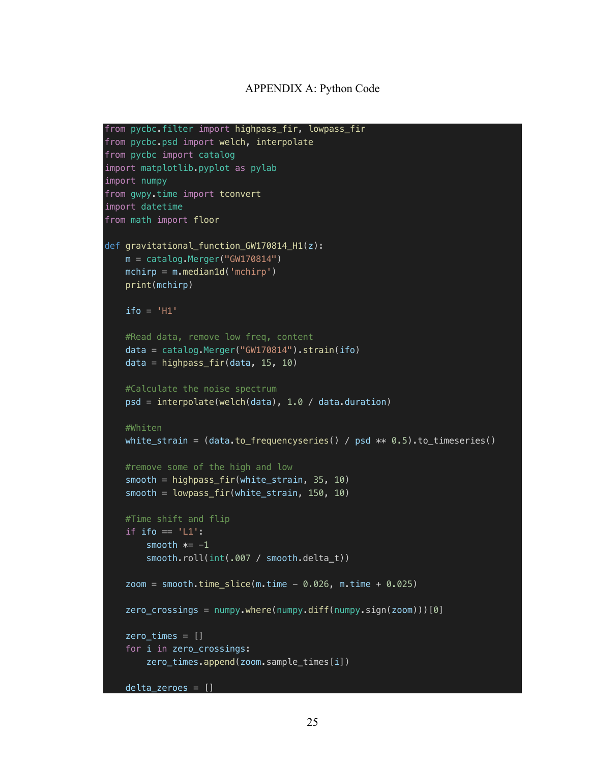#### APPENDIX A: Python Code

```
from pycbc.filter import highpass_fir, lowpass_fir
from pycbc.psd import welch, interpolate
from pycbc import catalog
import matplotlib.pyplot as pylab
import numpy
from gwpy.time import tconvert
import datetime
from math import floor
def gravitational_function_GW170814_H1(z):
    m = catalog.Merger("GW170814")
   mchirp = m.median1d('mchirp') print(mchirp)
   if_0 = 'H1' #Read data, remove low freq, content
     data = catalog.Merger("GW170814").strain(ifo)
     data = highpass_fir(data, 15, 10)
    #Calculate the noise spectrum
     psd = interpolate(welch(data), 1.0 / data.duration)
     #Whiten
   white_strain = (data_to_frequencies) / psd ** 0.5) .to_timeseries() #remove some of the high and low
     smooth = highpass_fir(white_strain, 35, 10)
    smooth = lowpass_fir(white_strain, 150, 10)
     #Time shift and flip
    if ifo == 'L1':smooth *= -1 smooth.roll(int(.007 / smooth.delta_t))
    zoom = smooth.time_slice(m.time - 0.026, m.time + 0.025)
     zero_crossings = numpy.where(numpy.diff(numpy.sign(zoom)))[0]
     zero_times = []
     for i in zero_crossings:
         zero_times.append(zoom.sample_times[i])
```

```
25
```
 $delt = zeroes = []$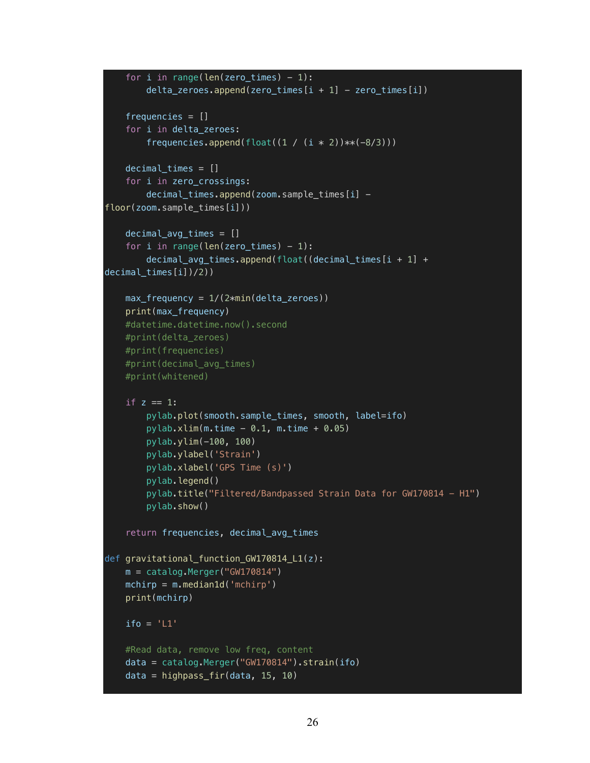```
for i in range(len(zero times) - 1):
        delta\_zeros.append(zero\_times[i + 1] - zero\_times[i]) frequencies = []
     for i in delta_zeroes:
        frequencies.append(float((1 / (i * 2)) **(-8/3)))
     decimal_times = []
     for i in zero_crossings:
        decimal_times.append(zoom.sample_times[i] -
floor(zoom.sample_times[i]))
     decimal_avg_times = []
    for i in range(len(zero times) - 1):
         decimal_avg_times.append(float((decimal_times[i + 1] + 
decimal_times[i])/2))
    max_frequency = 1/(2 * min(detta_z) print(max_frequency)
     #datetime.datetime.now().second
     #print(delta_zeroes)
     #print(frequencies)
     #print(decimal_avg_times)
     #print(whitened)
    if z == 1:
         pylab.plot(smooth.sample_times, smooth, label=ifo)
        pylab.xlim(m.time - 0.1, m.time + 0.05) pylab.ylim(-100, 100)
         pylab.ylabel('Strain')
         pylab.xlabel('GPS Time (s)')
         pylab.legend()
        pylab.title("Filtered/Bandpassed Strain Data for GW170814 - H1")
         pylab.show()
     return frequencies, decimal_avg_times
def gravitational function GW170814 L1(z):
     m = catalog.Merger("GW170814")
    mchirp = m.median1d('mchirp') print(mchirp)
    ifo = 'L1' #Read data, remove low freq, content
     data = catalog.Merger("GW170814").strain(ifo)
     data = highpass_fir(data, 15, 10)
```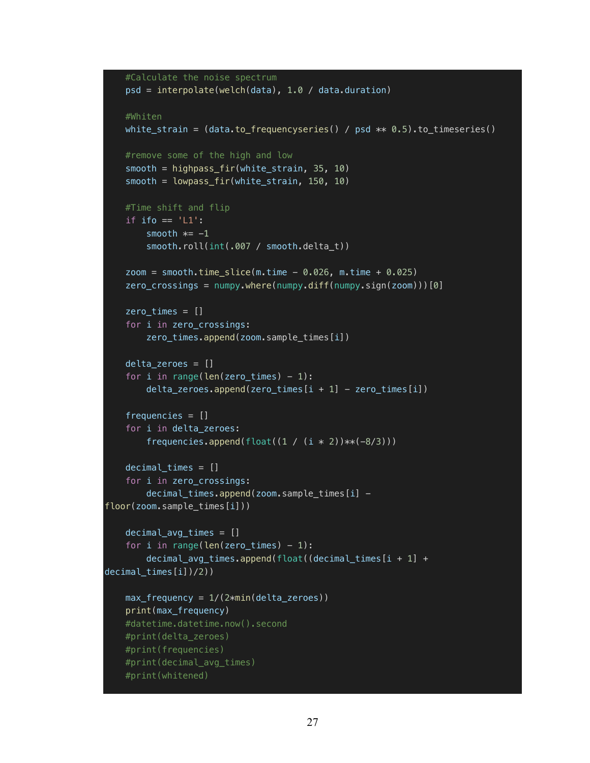```
 #Calculate the noise spectrum
     psd = interpolate(welch(data), 1.0 / data.duration)
     #Whiten
    white strain = (data.to frequencyseries() / psd ** 0.5).to timeseries()
     #remove some of the high and low
     smooth = highpass_fir(white_strain, 35, 10)
     smooth = lowpass_fir(white_strain, 150, 10)
     #Time shift and flip
    if ifo == 'L1':smooth *= -1smooth.roll(int(.007 / smooth.delta_t))
    \overline{z}oom = smooth.time_slice(m.time - 0.026, m.time + 0.025)
     zero_crossings = numpy.where(numpy.diff(numpy.sign(zoom)))[0]
     zero_times = []
     for i in zero_crossings:
         zero_times.append(zoom.sample_times[i])
     delta_zeroes = []
    for i in range(len(zero_times) -1):
        delta\_zeros.append(zero\_times[i + 1] - zero\_times[i]) frequencies = []
     for i in delta_zeroes:
        frequencies.append(float((1 / (i * 2)) **(-8/3)))
     decimal_times = []
     for i in zero_crossings:
        decimal_times.append(zoom.sample_times[i] -
floor(zoom.sample times[i]))
     decimal_avg_times = []
    for i in range(len(zero_times) -1):
         decimal_avg_times.append(float((decimal_times[i + 1] + 
decimal_times[i])/2))
    max_frequency = 1/(2 * min(detta_z) print(max_frequency)
     #datetime.datetime.now().second
     #print(delta_zeroes)
     #print(frequencies)
     #print(decimal_avg_times)
     #print(whitened)
```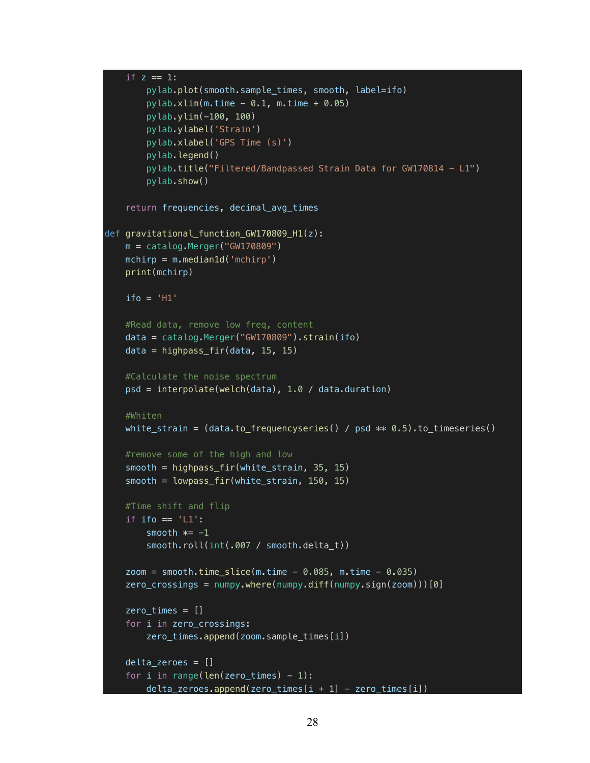```
if z == 1:
         pylab.plot(smooth.sample_times, smooth, label=ifo)
        pylab.xlim(m.time - 0.1, m.time + 0.05) pylab.ylim(-100, 100)
         pylab.ylabel('Strain')
         pylab.xlabel('GPS Time (s)')
         pylab.legend()
         pylab.title("Filtered/Bandpassed Strain Data for GW170814 - L1")
         pylab.show()
     return frequencies, decimal_avg_times
def gravitational_function_GW170809_H1(z):
   m = catalog.Merger('GW170809'')mchirp = m.median1d('mchirp') print(mchirp)
    ifo = 'H1' #Read data, remove low freq, content
     data = catalog.Merger("GW170809").strain(ifo)
     data = highpass_fir(data, 15, 15)
     #Calculate the noise spectrum
     psd = interpolate(welch(data), 1.0 / data.duration)
    #Whiten
   white_strain = (data_to_frequencies) / psd ** 0.5).to_timeseries() #remove some of the high and low
     smooth = highpass_fir(white_strain, 35, 15)
     smooth = lowpass_fir(white_strain, 150, 15)
     #Time shift and flip
    if ifo == 'L1':smooth *= -1 smooth.roll(int(.007 / smooth.delta_t))
    zoom = smooth.time_slice(m.time - 0.085, m.time - 0.035)
    zero\_crossings = numpy.where(numpy.diff(numpy.sign(zoom)))[0]zero \times times = [] for i in zero_crossings:
         zero_times.append(zoom.sample_times[i])
     delta_zeroes = []
    for i in range(len(zero_times) -1):
        delta\_zeros.append(zero\_times[i + 1] - zero\_times[i])
```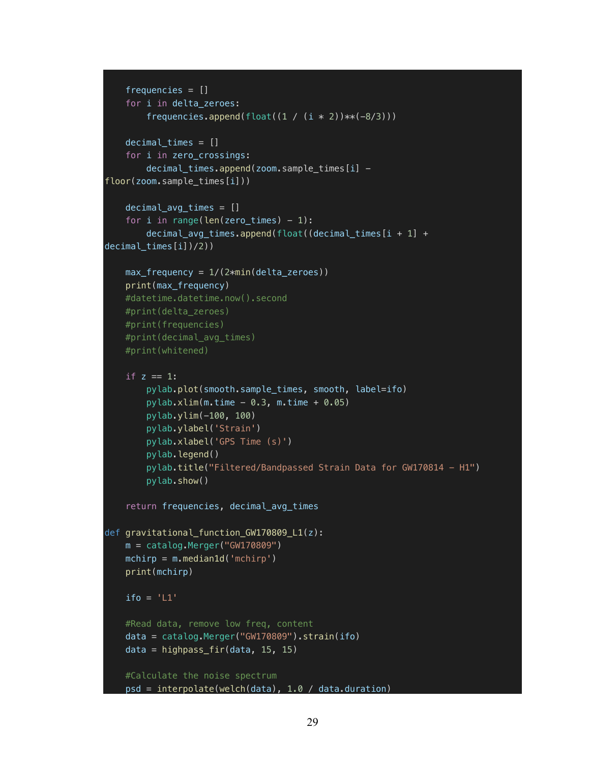```
 frequencies = []
     for i in delta_zeroes:
        frequencies.append(float((1 / (i * 2))**(-8/3)))
    decimal times = [] for i in zero_crossings:
        decimal_times.append(zoom.sample_times[i] -
floor(zoom.sample times[i]))
     decimal_avg_times = []
    for i in range(len(zero_times) -1):
         decimal_avg_times.append(float((decimal_times[i + 1] + 
decimal \tt times[i]/2))
    max_frequency = 1/(2 * min(detta_zeroes)) print(max_frequency)
     #datetime.datetime.now().second
     #print(delta_zeroes)
     #print(frequencies)
     #print(decimal_avg_times)
     #print(whitened)
    if z == 1:
         pylab.plot(smooth.sample_times, smooth, label=ifo)
        pylab.xlim(m.time - 0.3, m.time + 0.05) pylab.ylim(-100, 100)
         pylab.ylabel('Strain')
         pylab.xlabel('GPS Time (s)')
         pylab.legend()
         pylab.title("Filtered/Bandpassed Strain Data for GW170814 - H1")
         pylab.show()
     return frequencies, decimal_avg_times
def gravitational_function_GW170809_L1(z):
     m = catalog.Merger("GW170809")
    mchirp = m.median1d('mchirp') print(mchirp)
    ifo = 'LI' #Read data, remove low freq, content
     data = catalog.Merger("GW170809").strain(ifo)
    data = highpass_fir(data, 15, 15)
     #Calculate the noise spectrum
     psd = interpolate(welch(data), 1.0 / data.duration)
```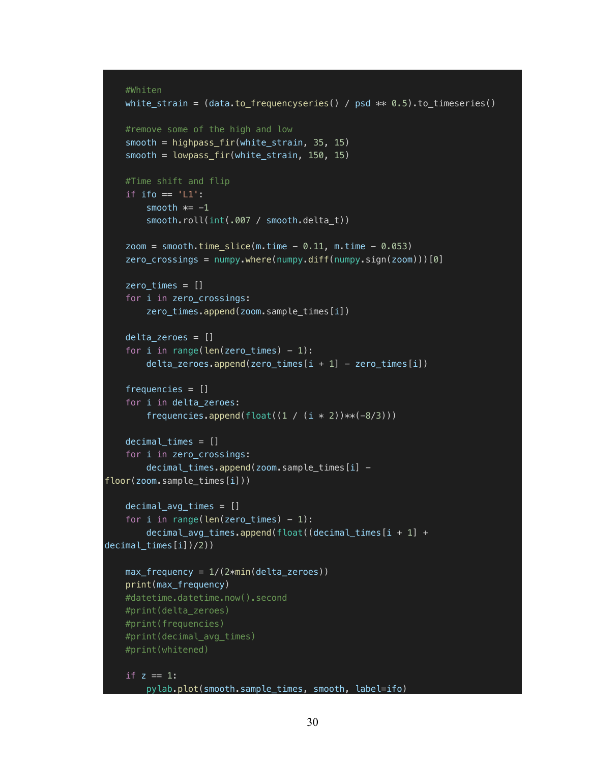```
 #Whiten
     white_strain = (data.to_frequencyseries() / psd ** 0.5).to_timeseries()
     #remove some of the high and low
    smooth = highpass\_fir(white\_strain, 35, 15) smooth = lowpass_fir(white_strain, 150, 15)
     #Time shift and flip
    if ifo == 'L1':smooth *= -1 smooth.roll(int(.007 / smooth.delta_t))
    zoom = smooth.time slice(m.time - 0.11, m.time - 0.053)
     zero_crossings = numpy.where(numpy.diff(numpy.sign(zoom)))[0]
    zero times = [] for i in zero_crossings:
         zero_times.append(zoom.sample_times[i])
    delta zeroes = []for i in range(len(zero_times) -1):
        delta\_zeros.append(zero\_times[i + 1] - zero\_times[i]) frequencies = []
     for i in delta_zeroes:
        frequencies.append(float((1 / (i * 2))**(-8/3)))
    decimal times = [] for i in zero_crossings:
         decimal_times.append(zoom.sample_times[i] -
floor(zoom.sample_times[i]))
    decimal_avg_times = []for i in range(len(zero_times) -1):
         decimal_avg_times.append(float((decimal_times[i + 1] + 
decimal_times[i])/2))
    max_frequency = 1/(2 * min(detta_zeroes)) print(max_frequency)
     #datetime.datetime.now().second
     #print(delta_zeroes)
     #print(frequencies)
     #print(decimal_avg_times)
     #print(whitened)
    if z = 1:
       pylab.plot(smooth.sample_times, smooth, label=ifo)
```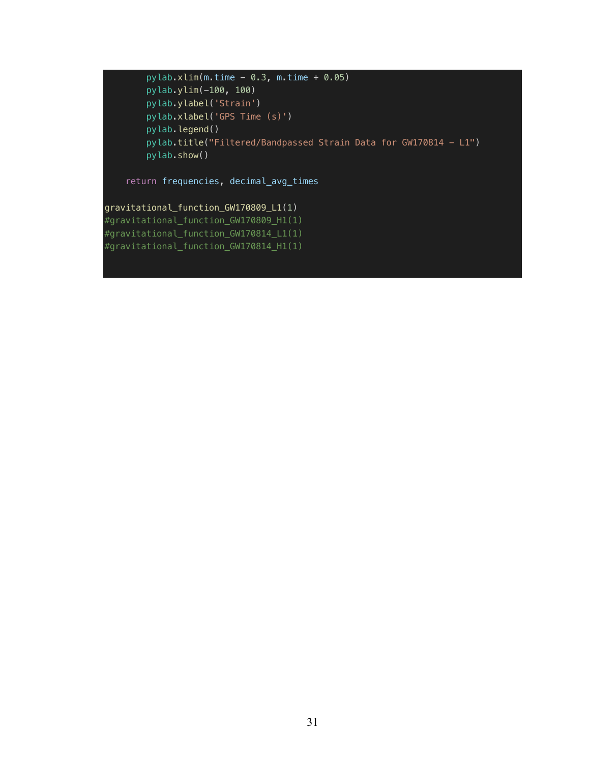$pylab.xlim(m.time - 0.3, m.time + 0.05)$  pylab.ylim(-100, 100) pylab.ylabel('Strain') pylab.xlabel('GPS Time (s)') pylab.legend() pylab.title("Filtered/Bandpassed Strain Data for GW170814 - L1") pylab.show()

return frequencies, decimal\_avg\_times

gravitational\_function\_GW170809\_L1(1) #gravitational\_function\_GW170809\_H1(1) #gravitational\_function\_GW170814\_L1(1) #gravitational\_function\_GW170814\_H1(1)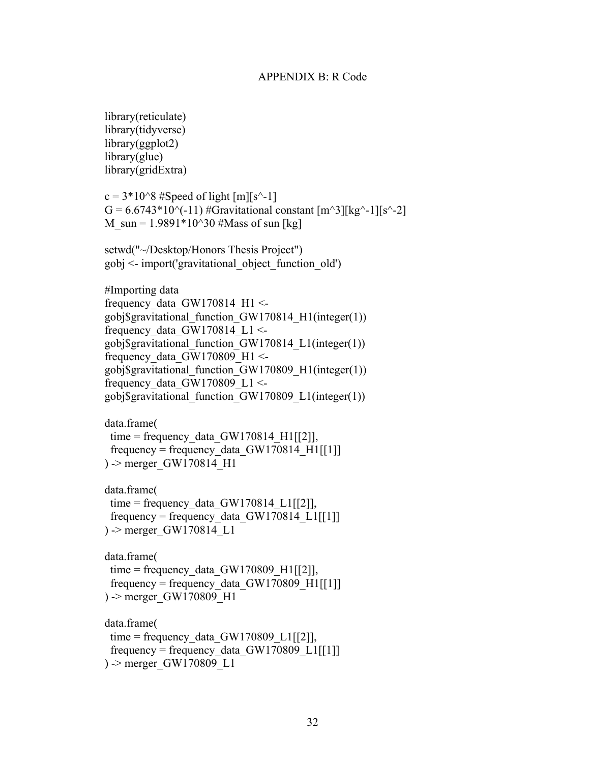#### APPENDIX B: R Code

library(reticulate) library(tidyverse) library(ggplot2) library(glue) library(gridExtra)  $c = 3*10^8$  #Speed of light [m][s<sup> $\sim$ </sup>-1]  $G = 6.6743*10^{-11}$  #Gravitational constant  $[m^3][kg^2-1][s^2-2]$ M  $\text{sun} = 1.9891*10^30$  #Mass of sun [kg] setwd("~/Desktop/Honors Thesis Project")  $gobj \leq import('gravitational object function old')$ #Importing data frequency data GW170814 H1  $\le$ gobj\$gravitational\_function\_GW170814\_H1(integer(1)) frequency data GW170814 L1 <gobj\$gravitational\_function\_GW170814\_L1(integer(1)) frequency data GW170809 H1  $\le$ gobj\$gravitational\_function\_GW170809\_H1(integer(1)) frequency data GW170809 L1 <gobj\$gravitational\_function\_GW170809\_L1(integer(1)) data.frame( time = frequency data  $GW170814$  H1 $[[2]]$ , frequency = frequency\_data\_GW170814\_H1[[1]] ) -> merger\_GW170814\_H1 data.frame( time = frequency data GW170814 L1 $[[2]]$ , frequency = frequency data GW170814 L1 $[[1]]$ ) -> merger\_GW170814\_L1 data.frame( time = frequency data GW170809 H1 $[[2]]$ , frequency = frequency data GW170809 H1 $[[1]]$ ) -> merger\_GW170809\_H1 data.frame( time = frequency data  $GW170809$  L1 $[[2]]$ , frequency = frequency data GW170809 L1 $[[1]]$ ) -> merger\_GW170809\_L1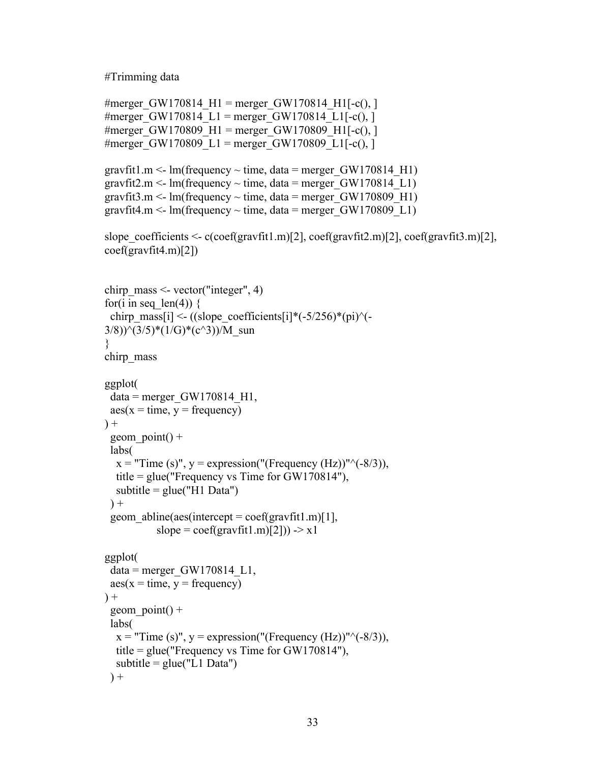#Trimming data

```
#merger GW170814 H1 = merger GW170814 H1[-c(), ]
#merger GW170814 L1 = merger GW170814 L1[-c(),]#merger GW170809 H1 = merger GW170809 H1[-c(), ]
#merger GW170809 L1 = merger GW170809 L1[-c(),]
```

```
gravfit1.m <- lm(frequency \sim time, data = merger GW170814 H1)
gravfit2.m <- lm(frequency \sim time, data = merger GW170814 L1)
gravfit3.m <- lm(frequency \sim time, data = merger GW170809 H1)
gravfit4.m <- lm(frequency \sim time, data = merger GW170809 L1)
```

```
slope_coefficients <- c(coef(gravfit1.m)[2], coef(gravfit2.m)[2], coef(gravfit3.m)[2],
coef(gravfit4.m)[2])
```

```
chirp mass \le- vector("integer", 4)
for(i in seq len(4)) {
 chirp_mass[i] <- ((slope_coefficients[i]*(-5/256)*(pi)^(-
3/8))\hat{ }(3/5)*(1/G)*(c^3))/M_sun
}
chirp_mass
ggplot(
 data = merger GW170814 H1,
 \text{aes}(x = \text{time}, y = \text{frequency})+geom point() + labs(
  x = "Time (s)", y = expression("Frequency (Hz))"^( -8/3)), title = glue("Frequency vs Time for GW170814"),
  subtitle = glue("H1 Data")+geom abline(aes(intexcept = coef(gravfit1.m)[1],slope = \text{coeff}(\text{gravfit1.m})[2]) -> x1
ggplot(
 data = merger GW170814 L1,
 \text{aes}(x = \text{time}, y = \text{frequency})+geom point() + labs(
  x = "Time (s)", y = expression("(Frequency (Hz))"^( -8/3)), title = glue("Frequency vs Time for GW170814"),
  subtitle = glue("L1 Data")) +
```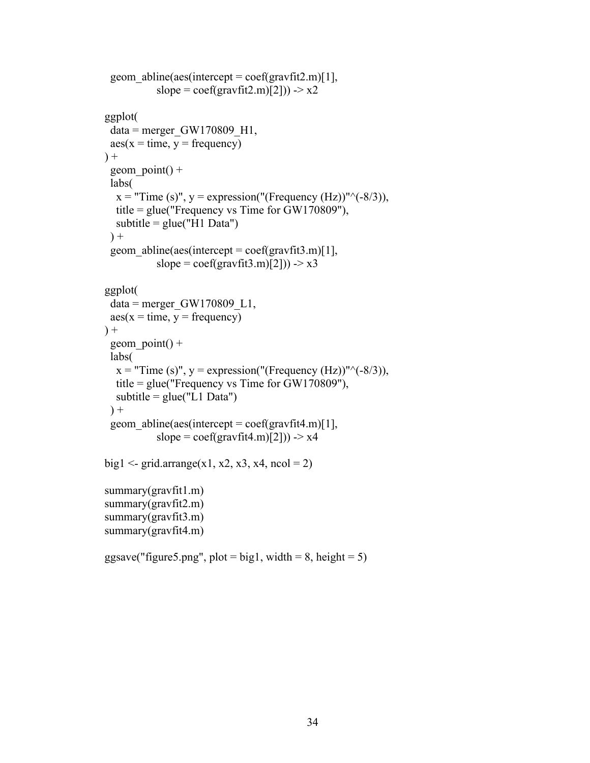```
geom abline(aes(intercept = coef(gravfit2.m)[1],
           slope = \text{coef}(\text{gravfit2.m})[2]) -> x2
ggplot(
 data = merger GW170809 H1,\text{aes}(x = \text{time}, y = \text{frequency})) +geom point() + labs(
  x = "Time (s)", y = expression("(Frequency (Hz))"^( -8/3)), title = glue("Frequency vs Time for GW170809"),
  subtitle = glue("H1 Data")) +geom abline(aes(intexcept = coef(gravfit3.m)[1],slope = \text{coeff}(\text{gravfit3.m})[2]) -> x3
ggplot(
 data = merger GW170809 L1,\text{aes}(x = \text{time}, y = \text{frequency})+geom point() + labs(
  x = "Time (s)", y = expression("(Frequency (Hz))"^(–8/3)), title = glue("Frequency vs Time for GW170809"),
  subtitle = glue("L1 Data")+geom abline(aes(intercept = coef(gravfit4.m)[1],
           slope = \text{coeff}(\text{gravfit4.m})[2]) -> x4
big1 <- grid.arrange(x1, x2, x3, x4, ncol = 2)
summary(gravfit1.m)
summary(gravfit2.m)
summary(gravfit3.m)
summary(gravfit4.m)
```
ggsave("figure5.png", plot = big1, width =  $8$ , height =  $5$ )